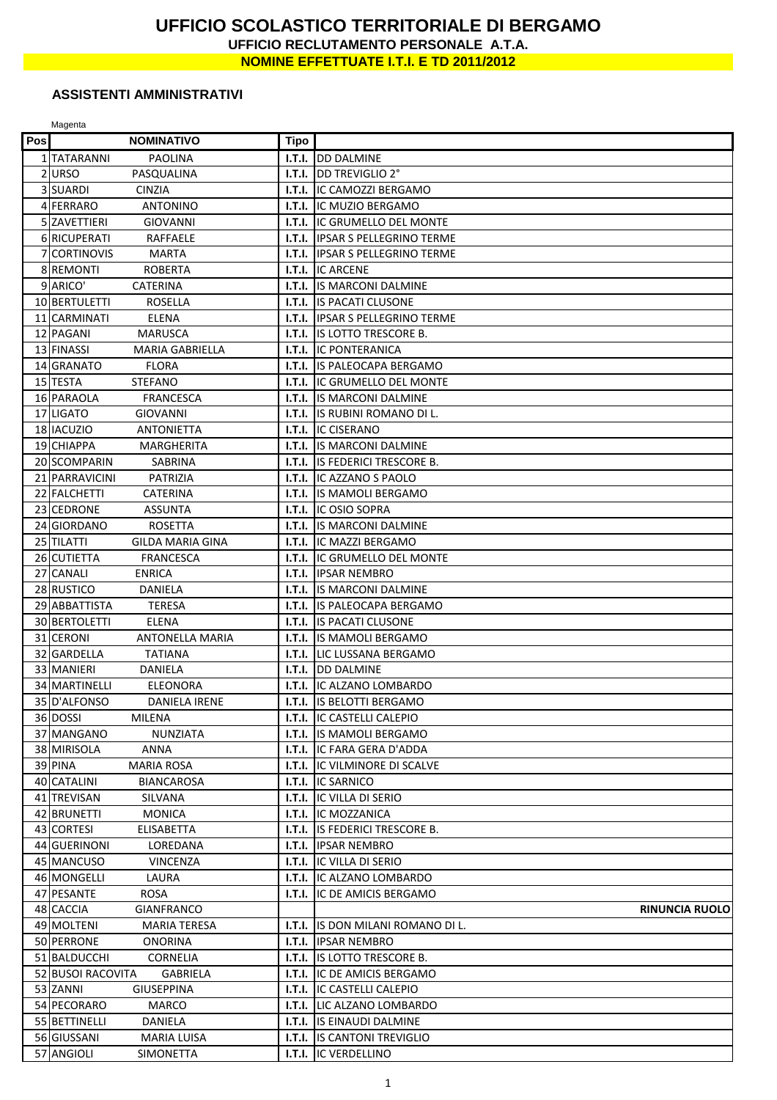## **UFFICIO SCOLASTICO TERRITORIALE DI BERGAMO UFFICIO RECLUTAMENTO PERSONALE A.T.A. NOMINE EFFETTUATE I.T.I. E TD 2011/2012**

## **ASSISTENTI AMMINISTRATIVI**

Magenta

| Pos | <b>NOMINATIVO</b>                              | Tipo             |                                               |
|-----|------------------------------------------------|------------------|-----------------------------------------------|
|     | 1 TATARANNI<br>PAOLINA                         | I.T.I.           | <b>DD DALMINE</b>                             |
|     | 2 URSO<br>PASQUALINA                           | I.T.I.           | DD TREVIGLIO 2°                               |
|     | 3 SUARDI<br><b>CINZIA</b>                      | I.T.I.           | <b>IC CAMOZZI BERGAMO</b>                     |
|     | 4 FERRARO<br><b>ANTONINO</b>                   | I.T.I.           | <b>IC MUZIO BERGAMO</b>                       |
|     | 5 ZAVETTIERI<br><b>GIOVANNI</b>                | I.T.I.           | IC GRUMELLO DEL MONTE                         |
|     | 6 RICUPERATI<br>RAFFAELE                       | I.T.I.           | <b>IPSAR S PELLEGRINO TERME</b>               |
|     | 7 CORTINOVIS<br><b>MARTA</b>                   | I.T.I.           | <b>IPSAR S PELLEGRINO TERME</b>               |
|     | 8 REMONTI<br><b>ROBERTA</b>                    | I.T.I.           | <b>IC ARCENE</b>                              |
|     | 9 ARICO'<br><b>CATERINA</b>                    | I.T.I.           | <b>IS MARCONI DALMINE</b>                     |
|     | 10 BERTULETTI<br><b>ROSELLA</b>                | I.T.I.           | <b>IS PACATI CLUSONE</b>                      |
|     | 11 CARMINATI<br><b>ELENA</b>                   | I.T.I.           | <b>IPSAR S PELLEGRINO TERME</b>               |
|     | 12 PAGANI<br><b>MARUSCA</b>                    | I.T.I.           | IS LOTTO TRESCORE B.                          |
|     | 13 FINASSI<br><b>MARIA GABRIELLA</b>           | I.T.I.           | <b>IC PONTERANICA</b>                         |
|     | 14 GRANATO<br><b>FLORA</b>                     | I.T.I.           | <b>IS PALEOCAPA BERGAMO</b>                   |
|     | 15 TESTA<br>STEFANO                            | I.T.I.           | IC GRUMELLO DEL MONTE                         |
|     | 16 PARAOLA<br><b>FRANCESCA</b>                 | I.T.I.           | <b>IS MARCONI DALMINE</b>                     |
|     | 17 LIGATO<br><b>GIOVANNI</b>                   | I.T.I.           | IS RUBINI ROMANO DI L.                        |
|     | 18 IACUZIO<br><b>ANTONIETTA</b>                | I.T.I.           | <b>IC CISERANO</b>                            |
|     | 19 CHIAPPA<br>MARGHERITA                       | I.T.I.           | <b>IS MARCONI DALMINE</b>                     |
|     | 20 SCOMPARIN<br>SABRINA                        | I.T.I.           | <b>IS FEDERICI TRESCORE B.</b>                |
|     | 21 PARRAVICINI<br>PATRIZIA                     | I.T.I.           | IC AZZANO S PAOLO                             |
|     | 22 FALCHETTI<br><b>CATERINA</b>                | I.T.I.           | IS MAMOLI BERGAMO                             |
|     | 23 CEDRONE<br><b>ASSUNTA</b>                   | I.T.I.           | <b>IC OSIO SOPRA</b>                          |
|     | 24 GIORDANO<br><b>ROSETTA</b>                  | I.T.I.           | <b>IS MARCONI DALMINE</b>                     |
|     | 25 TILATTI<br>GILDA MARIA GINA<br>26 CUTIETTA  | I.T.I.           | IC MAZZI BERGAMO                              |
|     | <b>FRANCESCA</b><br>27 CANALI<br><b>ENRICA</b> | I.T.I.<br>I.T.I. | IC GRUMELLO DEL MONTE<br><b>IIPSAR NEMBRO</b> |
|     | 28 RUSTICO<br>DANIELA                          | I.T.I.           | <b>IS MARCONI DALMINE</b>                     |
|     | 29 ABBATTISTA<br><b>TERESA</b>                 |                  | <b>I.T.I. IS PALEOCAPA BERGAMO</b>            |
|     | 30 BERTOLETTI<br>ELENA                         | I.T.I.           | <b>IS PACATI CLUSONE</b>                      |
|     | 31 CERONI<br><b>ANTONELLA MARIA</b>            | I.T.I.           | IS MAMOLI BERGAMO                             |
|     | 32 GARDELLA<br><b>TATIANA</b>                  | I.T.I.           | LIC LUSSANA BERGAMO                           |
|     | 33 MANIERI<br>DANIELA                          | I.T.I.           | <b>DD DALMINE</b>                             |
|     | 34 MARTINELLI<br><b>ELEONORA</b>               | I.T.I.           | <b>IC ALZANO LOMBARDO</b>                     |
|     | 35 D'ALFONSO<br><b>DANIELA IRENE</b>           |                  | <b>I.T.I.</b> IS BELOTTI BERGAMO              |
|     | 36 DOSSI<br>MILENA                             |                  | <b>I.T.I.</b> IC CASTELLI CALEPIO             |
|     | 37 MANGANO<br>NUNZIATA                         |                  | <b>I.T.I.</b> IS MAMOLI BERGAMO               |
|     | 38 MIRISOLA<br>ANNA                            |                  | <b>I.T.I. IIC FARA GERA D'ADDA</b>            |
|     | 39 PINA<br><b>MARIA ROSA</b>                   |                  | <b>I.T.I. IIC VILMINORE DI SCALVE</b>         |
|     | 40 CATALINI<br><b>BIANCAROSA</b>               |                  | <b>I.T.I. IIC SARNICO</b>                     |
|     | 41 TREVISAN<br>SILVANA                         |                  | <b>I.T.I.</b> IC VILLA DI SERIO               |
|     | 42 BRUNETTI<br><b>MONICA</b>                   |                  | <b>I.T.I.</b> IC MOZZANICA                    |
|     | 43 CORTESI<br><b>ELISABETTA</b>                |                  | I.T.I. IS FEDERICI TRESCORE B.                |
|     | 44 GUERINONI<br>LOREDANA                       |                  | I.T.I. IPSAR NEMBRO                           |
|     | 45 MANCUSO<br><b>VINCENZA</b>                  |                  | <b>I.T.I.</b> IC VILLA DI SERIO               |
|     | 46 MONGELLI<br>LAURA                           |                  | <b>I.T.I.</b> IC ALZANO LOMBARDO              |
|     | 47 PESANTE<br>ROSA                             | I.T.I.           | <b>IC DE AMICIS BERGAMO</b>                   |
|     | 48 CACCIA<br><b>GIANFRANCO</b>                 |                  | <b>RINUNCIA RUOLO</b>                         |
|     | 49 MOLTENI<br><b>MARIA TERESA</b>              | I.T.I.           | IS DON MILANI ROMANO DI L.                    |
|     | 50 PERRONE<br>ONORINA                          |                  | <b>I.T.I. IIPSAR NEMBRO</b>                   |
|     | 51 BALDUCCHI<br>CORNELIA                       |                  | <b>I.T.I.</b> IS LOTTO TRESCORE B.            |
|     | 52 BUSOI RACOVITA<br>GABRIELA                  |                  | <b>I.T.I. IIC DE AMICIS BERGAMO</b>           |
|     | 53 ZANNI<br><b>GIUSEPPINA</b>                  |                  | <b>I.T.I.</b> IC CASTELLI CALEPIO             |
|     | 54 PECORARO<br><b>MARCO</b>                    |                  | <b>I.T.I.</b> LIC ALZANO LOMBARDO             |
|     | 55 BETTINELLI<br>DANIELA                       |                  | <b>I.T.I.</b> IS EINAUDI DALMINE              |
|     | 56 GIUSSANI<br>MARIA LUISA                     |                  | <b>I.T.I. IS CANTONI TREVIGLIO</b>            |
|     | 57 ANGIOLI<br><b>SIMONETTA</b>                 |                  | <b>I.T.I.</b> IC VERDELLINO                   |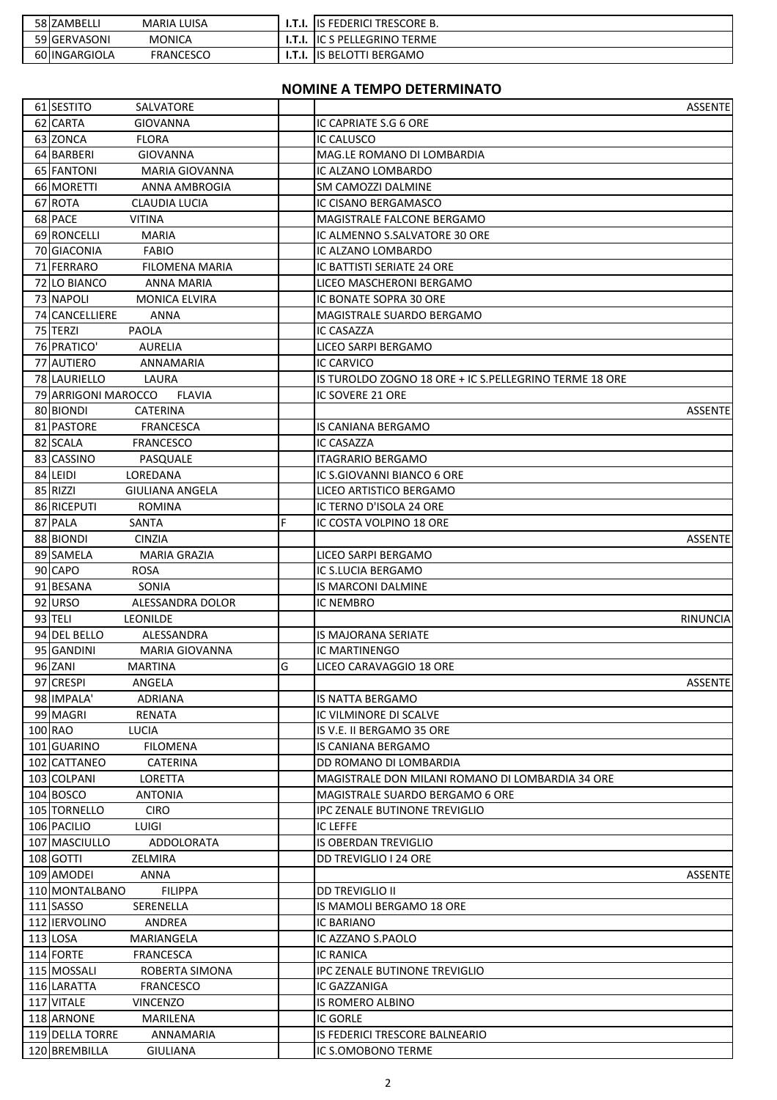| 58 ZAMBELLI   | <b>MARIA LUISA</b> | .T.I.       | I TRESCORE B.<br>ΠS<br>FEDERICI         |
|---------------|--------------------|-------------|-----------------------------------------|
| 59 GERVASONI  | <b>MONICA</b>      |             | <b>TERME</b><br>، PELLEGRINO<br>- IIC S |
| 60 INGARGIOLA | <b>FRANCESCO</b>   | T<br>I.T.I. | BERGAMO<br>, BELOTTI<br>ΠS              |

## **NOMINE A TEMPO DETERMINATO**

| 61 SESTITO<br>SALVATORE                           |   |                                                        | <b>ASSENTE</b> |
|---------------------------------------------------|---|--------------------------------------------------------|----------------|
| 62 CARTA<br><b>GIOVANNA</b>                       |   | IC CAPRIATE S.G 6 ORE                                  |                |
| 63 ZONCA<br><b>FLORA</b>                          |   | IC CALUSCO                                             |                |
| 64 BARBERI<br><b>GIOVANNA</b>                     |   | MAG.LE ROMANO DI LOMBARDIA                             |                |
| 65 FANTONI<br>MARIA GIOVANNA                      |   | IC ALZANO LOMBARDO                                     |                |
| 66 MORETTI<br>ANNA AMBROGIA                       |   | SM CAMOZZI DALMINE                                     |                |
| 67 ROTA<br><b>CLAUDIA LUCIA</b>                   |   | IC CISANO BERGAMASCO                                   |                |
| 68 PACE<br><b>VITINA</b>                          |   | MAGISTRALE FALCONE BERGAMO                             |                |
| 69 RONCELLI<br><b>MARIA</b>                       |   | IC ALMENNO S.SALVATORE 30 ORE                          |                |
| <b>FABIO</b><br>70 GIACONIA                       |   | IC ALZANO LOMBARDO                                     |                |
| 71 FERRARO<br>FILOMENA MARIA                      |   | IC BATTISTI SERIATE 24 ORE                             |                |
| 72 LO BIANCO<br>ANNA MARIA                        |   | LICEO MASCHERONI BERGAMO                               |                |
| 73 NAPOLI<br><b>MONICA ELVIRA</b>                 |   | IC BONATE SOPRA 30 ORE                                 |                |
| 74 CANCELLIERE<br>ANNA                            |   | MAGISTRALE SUARDO BERGAMO                              |                |
| 75 TERZI<br><b>PAOLA</b>                          |   | IC CASAZZA                                             |                |
| 76 PRATICO'<br><b>AURELIA</b>                     |   | LICEO SARPI BERGAMO                                    |                |
| 77 AUTIERO<br><b>ANNAMARIA</b>                    |   | IC CARVICO                                             |                |
| 78 LAURIELLO<br>LAURA                             |   | IS TUROLDO ZOGNO 18 ORE + IC S.PELLEGRINO TERME 18 ORE |                |
| <b>FLAVIA</b><br>79 ARRIGONI MAROCCO              |   | IC SOVERE 21 ORE                                       |                |
| 80 BIONDI<br><b>CATERINA</b>                      |   |                                                        | <b>ASSENTE</b> |
| 81 PASTORE<br><b>FRANCESCA</b>                    |   | IS CANIANA BERGAMO                                     |                |
| 82 SCALA<br><b>FRANCESCO</b>                      |   | <b>IC CASAZZA</b>                                      |                |
| 83 CASSINO<br>PASQUALE                            |   | <b>ITAGRARIO BERGAMO</b>                               |                |
| 84 LEIDI<br>LOREDANA                              |   | IC S.GIOVANNI BIANCO 6 ORE                             |                |
| 85 RIZZI<br>GIULIANA ANGELA                       |   | LICEO ARTISTICO BERGAMO                                |                |
| 86 RICEPUTI<br><b>ROMINA</b>                      |   | IC TERNO D'ISOLA 24 ORE                                |                |
| 87 PALA<br>SANTA                                  | F | IC COSTA VOLPINO 18 ORE                                |                |
| 88 BIONDI<br><b>CINZIA</b>                        |   |                                                        | <b>ASSENTE</b> |
| 89 SAMELA<br>MARIA GRAZIA                         |   | LICEO SARPI BERGAMO                                    |                |
| 90 CAPO<br><b>ROSA</b>                            |   | IC S.LUCIA BERGAMO                                     |                |
| 91 BESANA<br><b>SONIA</b>                         |   | IS MARCONI DALMINE                                     |                |
| 92 URSO<br>ALESSANDRA DOLOR                       |   | IC NEMBRO                                              |                |
| 93 TELI<br><b>LEONILDE</b>                        |   |                                                        | RINUNCIA       |
| 94 DEL BELLO<br>ALESSANDRA                        |   | IS MAJORANA SERIATE                                    |                |
| 95 GANDINI<br><b>MARIA GIOVANNA</b>               |   | IC MARTINENGO                                          |                |
| 96 ZANI<br>MARTINA                                | G | LICEO CARAVAGGIO 18 ORE                                |                |
| 97 CRESPI<br>ANGELA                               |   |                                                        | <b>ASSENTE</b> |
| 98 IMPALA'<br>ADRIANA                             |   | IS NATTA BERGAMO                                       |                |
| 99 MAGRI<br><b>RENATA</b>                         |   | IC VILMINORE DI SCALVE                                 |                |
| 100 RAO<br>LUCIA                                  |   | IS V.E. II BERGAMO 35 ORE                              |                |
| 101 GUARINO<br><b>FILOMENA</b>                    |   | IS CANIANA BERGAMO                                     |                |
| 102 CATTANEO<br>CATERINA                          |   | DD ROMANO DI LOMBARDIA                                 |                |
| 103 COLPANI<br>LORETTA                            |   | MAGISTRALE DON MILANI ROMANO DI LOMBARDIA 34 ORE       |                |
| 104 BOSCO<br><b>ANTONIA</b>                       |   | MAGISTRALE SUARDO BERGAMO 6 ORE                        |                |
| 105 TORNELLO<br><b>CIRO</b>                       |   | <b>IPC ZENALE BUTINONE TREVIGLIO</b>                   |                |
| 106 PACILIO<br>LUIGI                              |   | IC LEFFE                                               |                |
| 107 MASCIULLO<br>ADDOLORATA                       |   | IS OBERDAN TREVIGLIO                                   |                |
| 108 GOTTI<br>ZELMIRA                              |   | DD TREVIGLIO I 24 ORE                                  |                |
| 109 AMODEI<br>ANNA                                |   |                                                        | <b>ASSENTE</b> |
| 110 MONTALBANO<br><b>FILIPPA</b>                  |   | <b>DD TREVIGLIO II</b>                                 |                |
| 111 SASSO<br>SERENELLA                            |   | IS MAMOLI BERGAMO 18 ORE                               |                |
| 112 IERVOLINO<br>ANDREA                           |   | IC BARIANO                                             |                |
| 113 LOSA<br>MARIANGELA                            |   | IC AZZANO S.PAOLO                                      |                |
| 114 FORTE<br>FRANCESCA<br>115 MOSSALI             |   | IC RANICA                                              |                |
| ROBERTA SIMONA<br>116 LARATTA<br><b>FRANCESCO</b> |   | IPC ZENALE BUTINONE TREVIGLIO<br>IC GAZZANIGA          |                |
| 117 VITALE<br><b>VINCENZO</b>                     |   | IS ROMERO ALBINO                                       |                |
| 118 ARNONE<br>MARILENA                            |   | IC GORLE                                               |                |
| 119 DELLA TORRE<br>ANNAMARIA                      |   | IS FEDERICI TRESCORE BALNEARIO                         |                |
| 120 BREMBILLA<br>GIULIANA                         |   | IC S.OMOBONO TERME                                     |                |
|                                                   |   |                                                        |                |